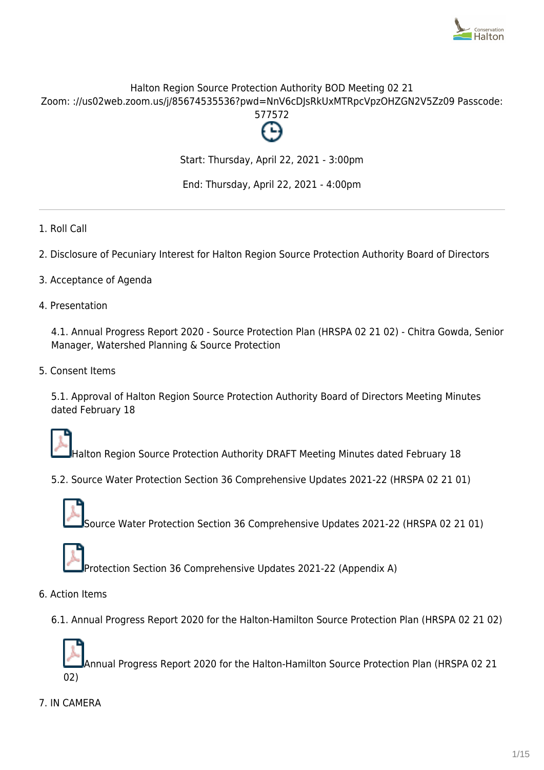

# Halton Region Source Protection Authority BOD Meeting 02 21 Zoom: ://us02web.zoom.us/j/85674535536?pwd=NnV6cDJsRkUxMTRpcVpzOHZGN2V5Zz09 Passcode:



Start: Thursday, April 22, 2021 - 3:00pm

End: Thursday, April 22, 2021 - 4:00pm

- 1. Roll Call
- 2. Disclosure of Pecuniary Interest for Halton Region Source Protection Authority Board of Directors
- 3. Acceptance of Agenda
- 4. Presentation

4.1. Annual Progress Report 2020 - Source Protection Plan (HRSPA 02 21 02) - Chitra Gowda, Senior Manager, Watershed Planning & Source Protection

5. Consent Items

5.1. Approval of Halton Region Source Protection Authority Board of Directors Meeting Minutes dated February 18



Halton Region Source Protection Authority DRAFT Meeting Minutes dated February 18

5.2. Source Water Protection Section 36 Comprehensive Updates 2021-22 (HRSPA 02 21 01)



Source Water Protection Section 36 Comprehensive Updates 2021-22 (HRSPA 02 21 01)



Protection Section 36 Comprehensive Updates 2021-22 (Appendix A)

- 6. Action Items
	- 6.1. Annual Progress Report 2020 for the Halton-Hamilton Source Protection Plan (HRSPA 02 21 02)

Annual Progress Report 2020 for the Halton-Hamilton Source Protection Plan (HRSPA 02 21 02)

7. IN CAMERA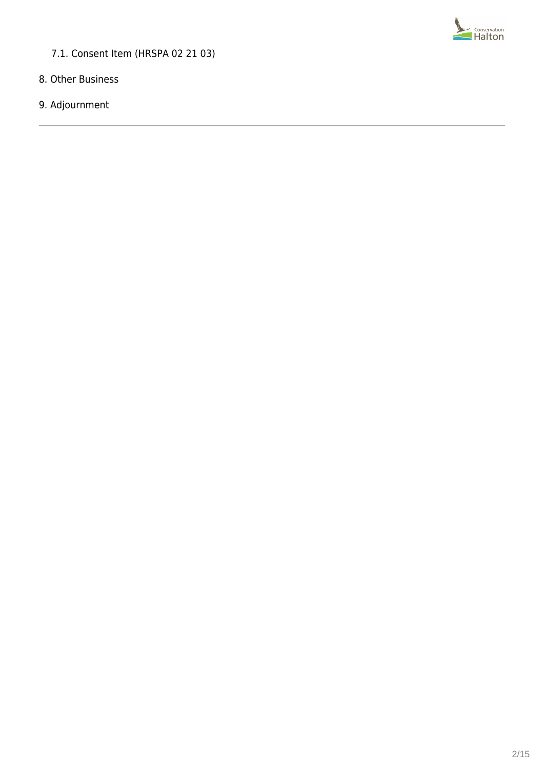

# 7.1. Consent Item (HRSPA 02 21 03)

- 8. Other Business
- 9. Adjournment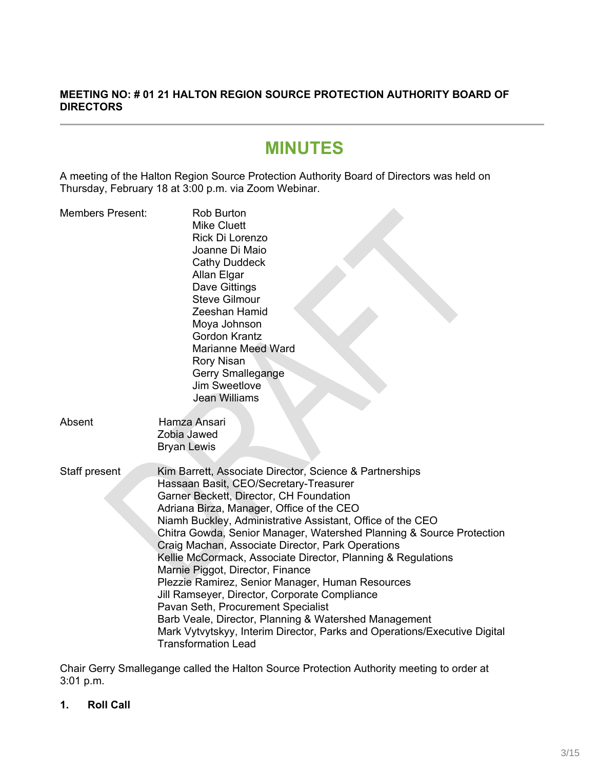# **MEETING NO: # 01 21 HALTON REGION SOURCE PROTECTION AUTHORITY BOARD OF DIRECTORS**

# **MINUTES**

A meeting of the Halton Region Source Protection Authority Board of Directors was held on Thursday, February 18 at 3:00 p.m. via Zoom Webinar.

| <b>Members Present:</b> | <b>Rob Burton</b><br><b>Mike Cluett</b><br>Rick Di Lorenzo<br>Joanne Di Maio<br><b>Cathy Duddeck</b><br>Allan Elgar<br>Dave Gittings<br><b>Steve Gilmour</b><br>Zeeshan Hamid<br>Moya Johnson<br><b>Gordon Krantz</b><br><b>Marianne Meed Ward</b><br><b>Rory Nisan</b><br><b>Gerry Smallegange</b><br>Jim Sweetlove<br><b>Jean Williams</b>                                                                                                                                                                                                                                                                                                                                                                                                                                                            |
|-------------------------|---------------------------------------------------------------------------------------------------------------------------------------------------------------------------------------------------------------------------------------------------------------------------------------------------------------------------------------------------------------------------------------------------------------------------------------------------------------------------------------------------------------------------------------------------------------------------------------------------------------------------------------------------------------------------------------------------------------------------------------------------------------------------------------------------------|
| Absent                  | Hamza Ansari<br>Zobia Jawed<br><b>Bryan Lewis</b>                                                                                                                                                                                                                                                                                                                                                                                                                                                                                                                                                                                                                                                                                                                                                       |
| Staff present           | Kim Barrett, Associate Director, Science & Partnerships<br>Hassaan Basit, CEO/Secretary-Treasurer<br>Garner Beckett, Director, CH Foundation<br>Adriana Birza, Manager, Office of the CEO<br>Niamh Buckley, Administrative Assistant, Office of the CEO<br>Chitra Gowda, Senior Manager, Watershed Planning & Source Protection<br>Craig Machan, Associate Director, Park Operations<br>Kellie McCormack, Associate Director, Planning & Regulations<br>Marnie Piggot, Director, Finance<br>Plezzie Ramirez, Senior Manager, Human Resources<br>Jill Ramseyer, Director, Corporate Compliance<br>Pavan Seth, Procurement Specialist<br>Barb Veale, Director, Planning & Watershed Management<br>Mark Vytvytskyy, Interim Director, Parks and Operations/Executive Digital<br><b>Transformation Lead</b> |

Chair Gerry Smallegange called the Halton Source Protection Authority meeting to order at 3:01 p.m.

**1. Roll Call**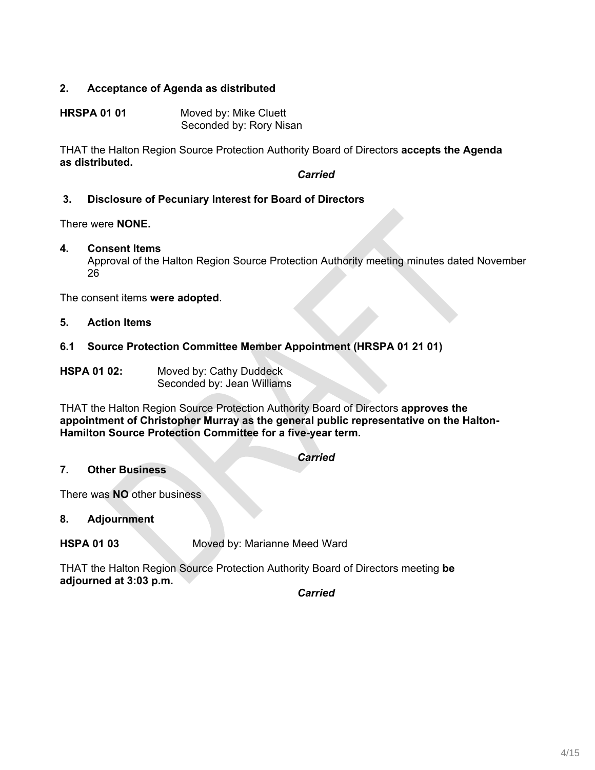# **2. Acceptance of Agenda as distributed**

**HRSPA 01 01** Moved by: Mike Cluett Seconded by: Rory Nisan

THAT the Halton Region Source Protection Authority Board of Directors **accepts the Agenda as distributed.**

*Carried*

## **3. Disclosure of Pecuniary Interest for Board of Directors**

There were **NONE.**

#### **4. Consent Items**

Approval of the Halton Region Source Protection Authority meeting minutes dated November 26

The consent items **were adopted**.

## **5. Action Items**

## **6.1 Source Protection Committee Member Appointment (HRSPA 01 21 01)**

**HSPA 01 02:** Moved by: Cathy Duddeck Seconded by: Jean Williams

THAT the Halton Region Source Protection Authority Board of Directors **approves the appointment of Christopher Murray as the general public representative on the Halton-Hamilton Source Protection Committee for a five-year term.**

| Carried |  |
|---------|--|
|         |  |

#### **7. Other Business**

There was **NO** other business

## **8. Adjournment**

**HSPA 01 03** Moved by: Marianne Meed Ward

THAT the Halton Region Source Protection Authority Board of Directors meeting **be adjourned at 3:03 p.m.**

*Carried*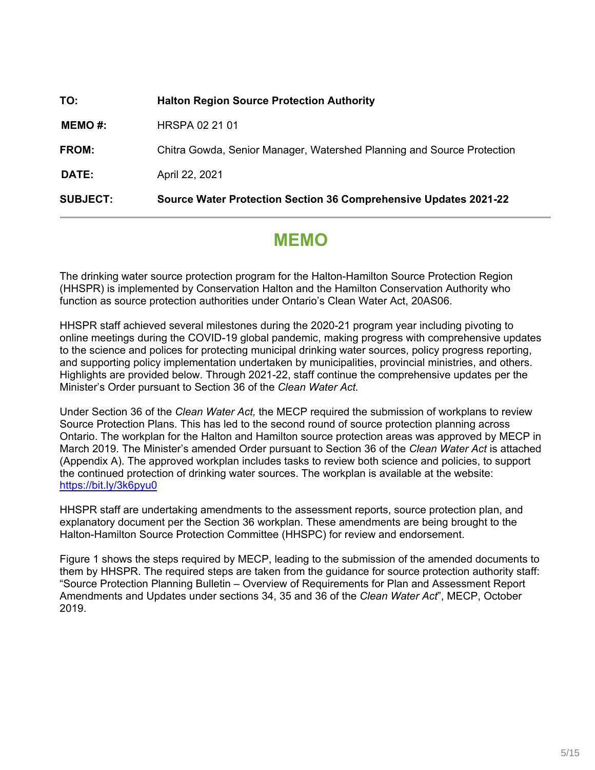| <b>SUBJECT:</b> | Source Water Protection Section 36 Comprehensive Updates 2021-22       |
|-----------------|------------------------------------------------------------------------|
| <b>DATE:</b>    | April 22, 2021                                                         |
| <b>FROM:</b>    | Chitra Gowda, Senior Manager, Watershed Planning and Source Protection |
| MEMO#:          | HRSPA 02 21 01                                                         |
| TO:             | <b>Halton Region Source Protection Authority</b>                       |

# **MEMO**

The drinking water source protection program for the Halton-Hamilton Source Protection Region (HHSPR) is implemented by Conservation Halton and the Hamilton Conservation Authority who function as source protection authorities under Ontario's Clean Water Act, 20AS06.

HHSPR staff achieved several milestones during the 2020-21 program year including pivoting to online meetings during the COVID-19 global pandemic, making progress with comprehensive updates to the science and polices for protecting municipal drinking water sources, policy progress reporting, and supporting policy implementation undertaken by municipalities, provincial ministries, and others. Highlights are provided below. Through 2021-22, staff continue the comprehensive updates per the Minister's Order pursuant to Section 36 of the *Clean Water Act.*

Under Section 36 of the *Clean Water Act,* the MECP required the submission of workplans to review Source Protection Plans. This has led to the second round of source protection planning across Ontario. The workplan for the Halton and Hamilton source protection areas was approved by MECP in March 2019. The Minister's amended Order pursuant to Section 36 of the *Clean Water Act* is attached (Appendix A). The approved workplan includes tasks to review both science and policies, to support the continued protection of drinking water sources. The workplan is available at the website: <https://bit.ly/3k6pyu0>

HHSPR staff are undertaking amendments to the assessment reports, source protection plan, and explanatory document per the Section 36 workplan. These amendments are being brought to the Halton-Hamilton Source Protection Committee (HHSPC) for review and endorsement.

Figure 1 shows the steps required by MECP, leading to the submission of the amended documents to them by HHSPR. The required steps are taken from the guidance for source protection authority staff: "Source Protection Planning Bulletin – Overview of Requirements for Plan and Assessment Report Amendments and Updates under sections 34, 35 and 36 of the *Clean Water Act*", MECP, October 2019.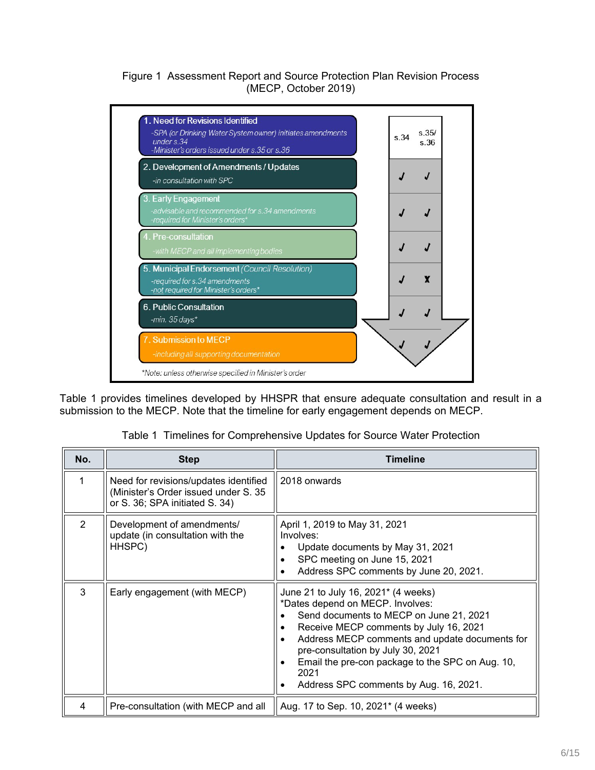## Figure 1 Assessment Report and Source Protection Plan Revision Process (MECP, October 2019)



Table 1 provides timelines developed by HHSPR that ensure adequate consultation and result in a submission to the MECP. Note that the timeline for early engagement depends on MECP.

|  | Table 1 Timelines for Comprehensive Updates for Source Water Protection |  |  |  |  |  |  |  |
|--|-------------------------------------------------------------------------|--|--|--|--|--|--|--|
|--|-------------------------------------------------------------------------|--|--|--|--|--|--|--|

| No.            | <b>Step</b>                                                                                                     | <b>Timeline</b>                                                                                                                                                                                                                                                                                                                                                     |
|----------------|-----------------------------------------------------------------------------------------------------------------|---------------------------------------------------------------------------------------------------------------------------------------------------------------------------------------------------------------------------------------------------------------------------------------------------------------------------------------------------------------------|
| 1              | Need for revisions/updates identified<br>(Minister's Order issued under S. 35<br>or S. 36; SPA initiated S. 34) | 2018 onwards                                                                                                                                                                                                                                                                                                                                                        |
| $\overline{2}$ | Development of amendments/<br>update (in consultation with the<br>HHSPC)                                        | April 1, 2019 to May 31, 2021<br>Involves:<br>Update documents by May 31, 2021<br>SPC meeting on June 15, 2021<br>Address SPC comments by June 20, 2021.<br>$\bullet$                                                                                                                                                                                               |
| 3              | Early engagement (with MECP)                                                                                    | June 21 to July 16, 2021* (4 weeks)<br>*Dates depend on MECP. Involves:<br>Send documents to MECP on June 21, 2021<br>Receive MECP comments by July 16, 2021<br>٠<br>Address MECP comments and update documents for<br>pre-consultation by July 30, 2021<br>Email the pre-con package to the SPC on Aug. 10,<br>٠<br>2021<br>Address SPC comments by Aug. 16, 2021. |
| 4              | Pre-consultation (with MECP and all                                                                             | Aug. 17 to Sep. 10, 2021* (4 weeks)                                                                                                                                                                                                                                                                                                                                 |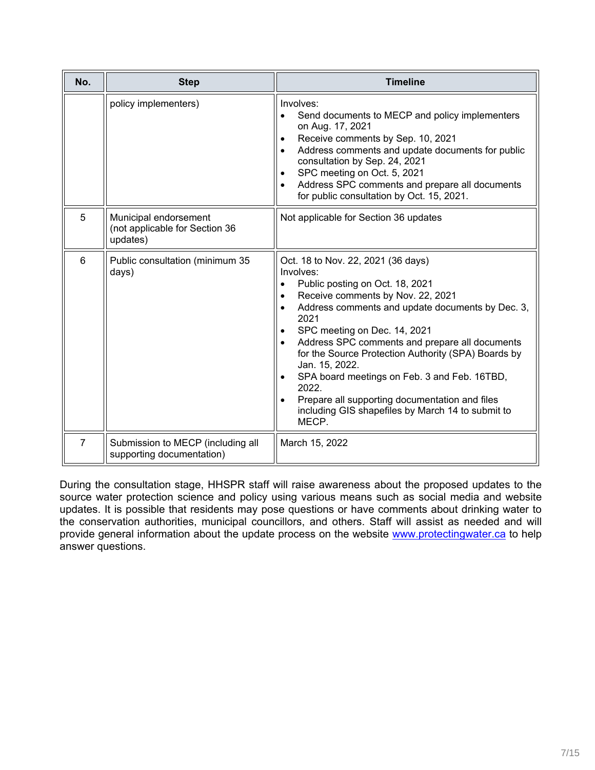| No.            | <b>Step</b>                                                         | <b>Timeline</b>                                                                                                                                                                                                                                                                                                                                                                                                                                                                                                                                                                          |  |
|----------------|---------------------------------------------------------------------|------------------------------------------------------------------------------------------------------------------------------------------------------------------------------------------------------------------------------------------------------------------------------------------------------------------------------------------------------------------------------------------------------------------------------------------------------------------------------------------------------------------------------------------------------------------------------------------|--|
|                | policy implementers)                                                | Involves:<br>Send documents to MECP and policy implementers<br>$\bullet$<br>on Aug. 17, 2021<br>Receive comments by Sep. 10, 2021<br>Address comments and update documents for public<br>$\bullet$<br>consultation by Sep. 24, 2021<br>SPC meeting on Oct. 5, 2021<br>$\bullet$<br>Address SPC comments and prepare all documents<br>$\bullet$<br>for public consultation by Oct. 15, 2021.                                                                                                                                                                                              |  |
| 5              | Municipal endorsement<br>(not applicable for Section 36<br>updates) | Not applicable for Section 36 updates                                                                                                                                                                                                                                                                                                                                                                                                                                                                                                                                                    |  |
| 6              | Public consultation (minimum 35<br>days)                            | Oct. 18 to Nov. 22, 2021 (36 days)<br>Involves:<br>Public posting on Oct. 18, 2021<br>$\bullet$<br>Receive comments by Nov. 22, 2021<br>$\bullet$<br>Address comments and update documents by Dec. 3,<br>$\bullet$<br>2021<br>SPC meeting on Dec. 14, 2021<br>$\bullet$<br>Address SPC comments and prepare all documents<br>for the Source Protection Authority (SPA) Boards by<br>Jan. 15, 2022.<br>SPA board meetings on Feb. 3 and Feb. 16TBD,<br>2022.<br>Prepare all supporting documentation and files<br>$\bullet$<br>including GIS shapefiles by March 14 to submit to<br>MECP. |  |
| $\overline{7}$ | Submission to MECP (including all<br>supporting documentation)      | March 15, 2022                                                                                                                                                                                                                                                                                                                                                                                                                                                                                                                                                                           |  |

During the consultation stage, HHSPR staff will raise awareness about the proposed updates to the source water protection science and policy using various means such as social media and website updates. It is possible that residents may pose questions or have comments about drinking water to the conservation authorities, municipal councillors, and others. Staff will assist as needed and will provide general information about the update process on the website [www.protectingwater.ca](http://www.protectingwater.ca/) to help answer questions.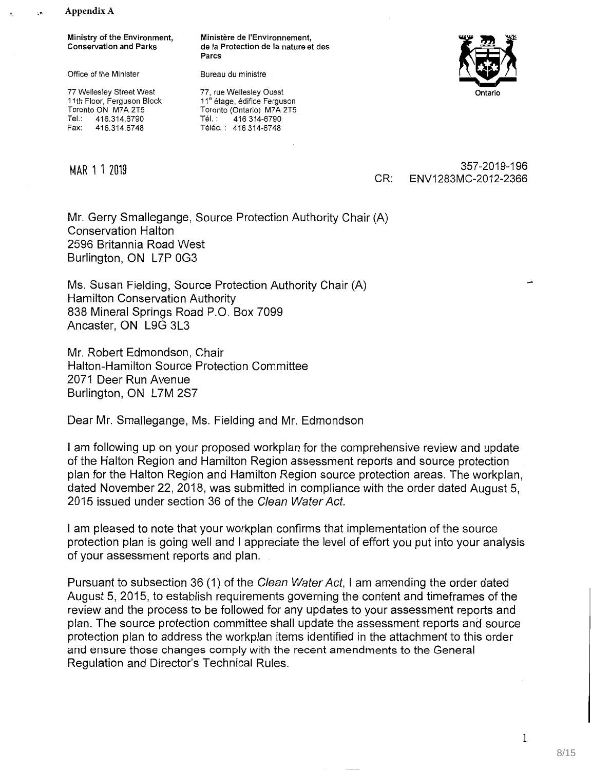**Appendix A**

Ministry of the Environment, Conservation and Parks

Office of the Minister

77 Wellesley Street West 11th Floor, Ferguson Block Toronto ON M7A 2T5<br>Tel.: 416.314.6790 Tel.: 416.314.6790<br>Fax: 416.314.6748 416.314.6748

Ministère de l'Environnement, **de Ia** Protection de **Ia** nature et des Parcs

Bureau du ministre



77, rue Wellesley Ouest 11<sup>e</sup> étage, édifice Ferguson Toronto (Ontario) M7A 2T5 Tél.: 416 314-6790 Téléc. : 416 314-6748

MAR 1 1 2019<br>
MAR 1 1 2019<br>
CB: ENN/1283MC 2012 2266 CR: ENVI283MC-2012-2366

Mr. Gerry Smallegange, Source Protection Authority Chair (A) Conservation Halton 2596 Britannia Road West Burlington, ON L7P 0G3

Ms. Susan Fielding, Source Protection Authority Chair (A) Hamilton Conservation Authority 838 Mineral Springs Road P.O. Box 7099 Ancaster, ON L9G 3L3

Mr. Robert Edmondson, Chair Halton-Hamilton Source Protection Committee 2071 Deer Run Avenue Burlington, ON L7M 2S7

Dear Mr. Smallegange, Ms. Fielding and Mr. Edmondson

I am following up on your proposed workplan for the comprehensive review and update of the Halton Region and Hamilton Region assessment reports and source protection plan for the Halton Region and Hamilton Region source protection areas. The workplan, dated November 22, 2018, was submitted in compliance with the order dated August 5, 2015 issued under section 36 of the *Clean WaterAct.* 

I am pleased to note that your workplan confirms that implementation of the source protection plan is going well and I appreciate the level of effort you put into your analysis of your assessment reports and plan.

Pursuant to subsection 36 (1) of the *Clean WaterAct, I* am amending the order dated August 5, 2015, to establish requirements governing the content and timeframes of the review and the process to be followed for any updates to your assessment reports and plan. The source protection committee shall update the assessment reports and source protection plan to address the workplan items identified in the attachment to this order and ensure those changes comply with the recent amendments to the General Regulation and Director's Technical Rules.

1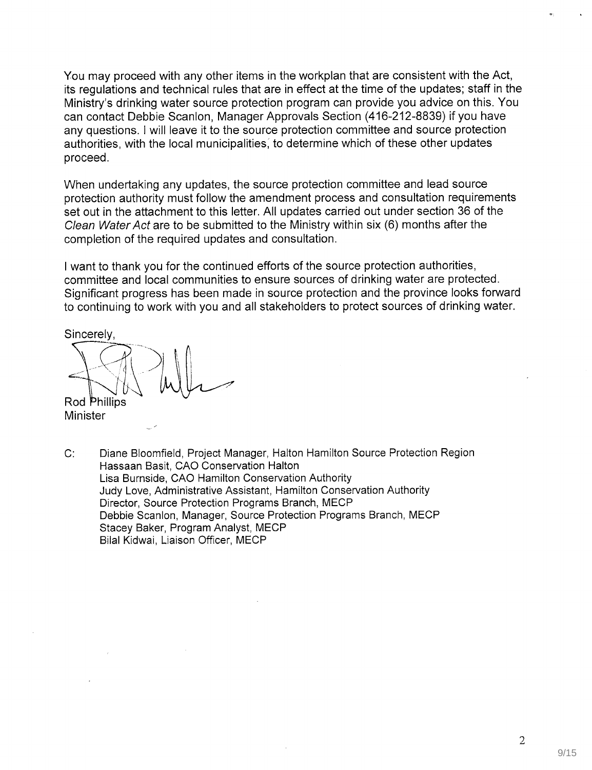You may proceed with any other items in the workplan that are consistent with the Act, its regulations and technical rules that are in effect at the time of the updates; staff in the Ministry's drinking water source protection program can provide you advice on this. You can contact Debbie Scanlon, Manager Approvals Section (416-212-8839) if you have any questions. I will leave it to the source protection committee and source protection authorities, with the local municipalities, to determine which of these other updates proceed.

When undertaking any updates, the source protection committee and lead source protection authority must follow the amendment process and consultation requirements set out in the attachment to this letter. All updates carried out under section 36 of the Clean Water Act are to be submitted to the Ministry within six (6) months after the completion of the required updates and consultation.

I want to thank you for the continued efforts of the source protection authorities, committee and local communities to ensure sources of drinking water are protected. Significant progress has been made in source protection and the province looks forward to continuing to work with you and all stakeholders to protect sources of drinking water.

Sincerely,

Rod Phillips Minister

C: Diane Bloomfield, Project Manager, Halton Hamilton Source Protection Region Hassaan Basit, CAO Conservation Halton Lisa Burnside, CAO Hamilton Conservation Authority Judy Love, Administrative Assistant, Hamilton Conservation Authority Director, Source Protection Programs Branch, MECP Debbie Scanlon, Manager, Source Protection Programs Branch, MECP Stacey Baker, Program Analyst, MECP Bilal Kidwai, Liaison Officer, MECP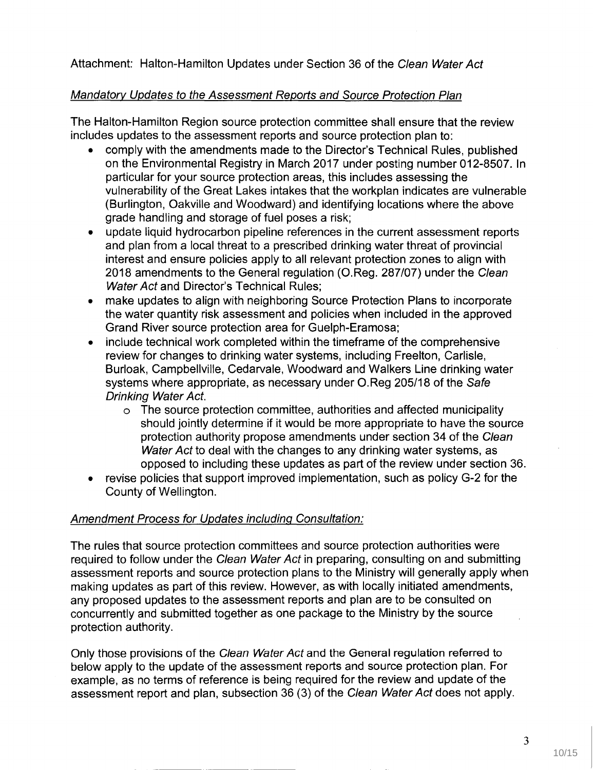Attachment: Halton-Hamilton Updates under Section 36 of the Clean Water Act

# Mandatory Updates to the Assessment Reports and Source Protection Plan

The Halton-Hamilton Region source protection committee shall ensure that the review includes updates to the assessment reports and source protection plan to:

- comply with the amendments made to the Director's Technical Rules, published on the Environmental Registry in March 2017 under posting number 012-8507. In particular for your source protection areas, this includes assessing the vulnerability of the Great Lakes intakes that the workplan indicates are vulnerable (Burlington, Oakville and Woodward) and identifying locations where the above grade handling and storage of fuel poses a risk;
- update liquid hydrocarbon pipeline references in the current assessment reports and plan from a local threat to a prescribed drinking water threat of provincial interest and ensure policies apply to all relevant protection zones to align with 2018 amendments to the General regulation (O.Reg. 287/07) under the Clean Water Act and Director's Technical Rules;
- make updates to align with neighboring Source Protection Plans to incorporate the water quantity risk assessment and policies when included in the approved Grand River source protection area for Guelph-Eramosa;
- include technical work completed within the timeframe of the comprehensive review for changes to drinking water systems, including Freelton, Carlisle, Burloak, Campbellville, Cedarvale, Woodward and Walkers Line drinking water systems where appropriate, as necessary under O.Reg 205/18 of the Safe Drinking Water Act.
	- o The source protection committee, authorities and affected municipality should jointly determine if it would be more appropriate to have the source protection authority propose amendments under section 34 of the Clean Water Act to deal with the changes to any drinking water systems, as opposed to including these updates as part of the review under section 36.
- revise policies that support improved implementation, such as policy G-2 for the County of Wellington.

# Amendment Process for Updates including Consultation:

The rules that source protection committees and source protection authorities were required to follow under the Clean Water Act in preparing, consulting on and submitting assessment reports and source protection plans to the Ministry will generally apply when making updates as part of this review. However, as with locally initiated amendments, any proposed updates to the assessment reports and plan are to be consulted on concurrently and submitted together as one package to the Ministry by the source protection authority.

Only those provisions of the Clean Water Act and the General regulation referred to below apply to the update of the assessment reports and source protection plan. For example, as no terms of reference is being required for the review and update of the assessment report and plan, subsection 36 (3) of the Clean Water Act does not apply.

3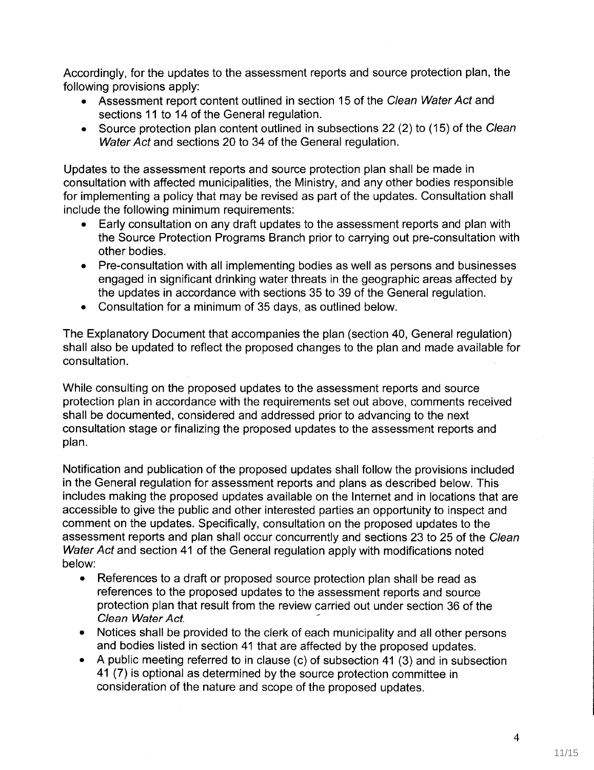Accordingly, for the updates to the assessment reports and source protection plan, the following provisions apply:

- Assessment report content outlined in section 15 of the Clean Water Act and sections 11 to 14 of the General regulation.
- Source protection plan content outlined in subsections 22 (2) to (15) of the Clean Water Act and sections 20 to 34 of the General regulation.

Updates to the assessment reports and source protection plan shall be made in consultation with affected municipalities, the Ministry, and any other bodies responsible for implementing a policy that may be revised as part of the updates. Consultation shall include the following minimum requirements:

- Early consultation on any draft updates to the assessment reports and plan with the Source Protection Programs Branch prior to carrying out pre-consultation with other bodies.
- Pre-consultation with all implementing bodies as well as persons and businesses engaged in significant drinking water threats in the geographic areas affected by the updates in accordance with sections 35 to 39 of the General regulation.
- Consultation for a minimum of 35 days, as outlined below.

The Explanatory Document that accompanies the plan (section 40, General regulation) shall also be updated to reflect the proposed changes to the plan and made available for consultation.

While consulting on the proposed updates to the assessment reports and source protection plan in accordance with the requirements set out above, comments received shall be documented, considered and addressed prior to advancing to the next consultation stage or finalizing the proposed updates to the assessment reports and plan.

Notification and publication of the proposed updates shall follow the provisions included in the General regulation for assessment reports and plans as described below. This includes making the proposed updates available on the Internet and in locations that are accessible to give the public and other interested parties an opportunity to inspect and comment on the updates. Specifically, consultation on the proposed updates to the assessment reports and plan shall occur concurrently and sections 23 to 25 of the Clean Water Act and section 41 of the General regulation apply with modifications noted below:

- References to a draft or proposed source protection plan shall be read as references to the proposed updates to the assessment reports and source protection plan that result from the review carried out under section 36 of the Clean Water Act.
- Notices shall be provided to the clerk of each municipality and all other persons and bodies listed in section 41 that are affected by the proposed updates.
- A public meeting referred to in clause (c) of subsection 41 (3) and in subsection 41(7) is optional as determined by the source protection commiftee in consideration of the nature and scope of the proposed updates.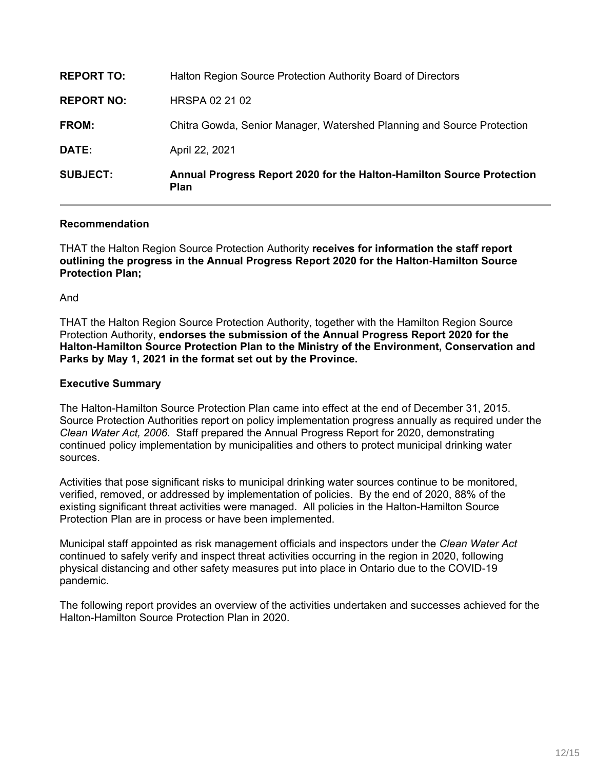| <b>SUBJECT:</b>   | Annual Progress Report 2020 for the Halton-Hamilton Source Protection<br><b>Plan</b> |
|-------------------|--------------------------------------------------------------------------------------|
| <b>DATE:</b>      | April 22, 2021                                                                       |
| <b>FROM:</b>      | Chitra Gowda, Senior Manager, Watershed Planning and Source Protection               |
| <b>REPORT NO:</b> | HRSPA 02 21 02                                                                       |
| <b>REPORT TO:</b> | Halton Region Source Protection Authority Board of Directors                         |

## **Recommendation**

THAT the Halton Region Source Protection Authority **receives for information the staff report outlining the progress in the Annual Progress Report 2020 for the Halton-Hamilton Source Protection Plan;**

And

THAT the Halton Region Source Protection Authority, together with the Hamilton Region Source Protection Authority, **endorses the submission of the Annual Progress Report 2020 for the Halton-Hamilton Source Protection Plan to the Ministry of the Environment, Conservation and Parks by May 1, 2021 in the format set out by the Province.**

## **Executive Summary**

The Halton-Hamilton Source Protection Plan came into effect at the end of December 31, 2015. Source Protection Authorities report on policy implementation progress annually as required under the *Clean Water Act, 2006*. Staff prepared the Annual Progress Report for 2020, demonstrating continued policy implementation by municipalities and others to protect municipal drinking water sources.

Activities that pose significant risks to municipal drinking water sources continue to be monitored, verified, removed, or addressed by implementation of policies. By the end of 2020, 88% of the existing significant threat activities were managed. All policies in the Halton-Hamilton Source Protection Plan are in process or have been implemented.

Municipal staff appointed as risk management officials and inspectors under the *Clean Water Act*  continued to safely verify and inspect threat activities occurring in the region in 2020, following physical distancing and other safety measures put into place in Ontario due to the COVID-19 pandemic.

The following report provides an overview of the activities undertaken and successes achieved for the Halton-Hamilton Source Protection Plan in 2020.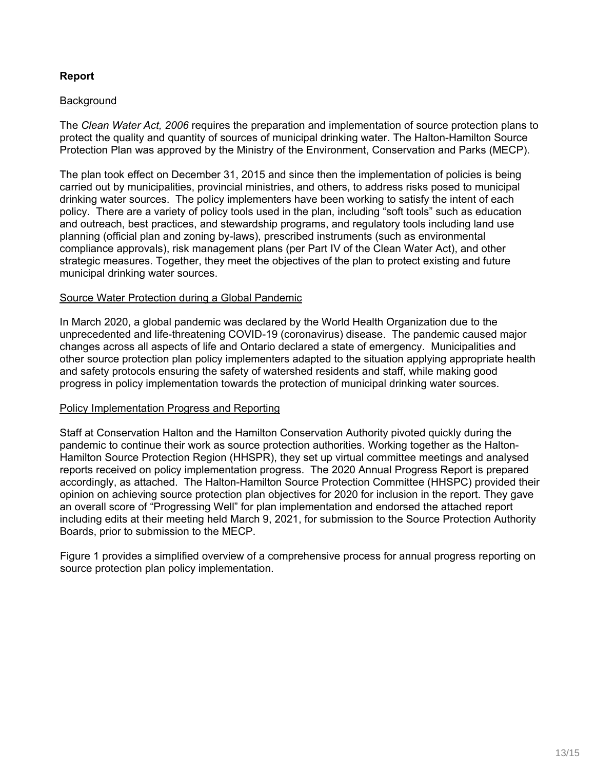# **Report**

## **Background**

The *Clean Water Act, 2006* requires the preparation and implementation of source protection plans to protect the quality and quantity of sources of municipal drinking water. The Halton-Hamilton Source Protection Plan was approved by the Ministry of the Environment, Conservation and Parks (MECP).

The plan took effect on December 31, 2015 and since then the implementation of policies is being carried out by municipalities, provincial ministries, and others, to address risks posed to municipal drinking water sources. The policy implementers have been working to satisfy the intent of each policy. There are a variety of policy tools used in the plan, including "soft tools" such as education and outreach, best practices, and stewardship programs, and regulatory tools including land use planning (official plan and zoning by-laws), prescribed instruments (such as environmental compliance approvals), risk management plans (per Part IV of the Clean Water Act), and other strategic measures. Together, they meet the objectives of the plan to protect existing and future municipal drinking water sources.

#### Source Water Protection during a Global Pandemic

In March 2020, a global pandemic was declared by the World Health Organization due to the unprecedented and life-threatening COVID-19 (coronavirus) disease. The pandemic caused major changes across all aspects of life and Ontario declared a state of emergency. Municipalities and other source protection plan policy implementers adapted to the situation applying appropriate health and safety protocols ensuring the safety of watershed residents and staff, while making good progress in policy implementation towards the protection of municipal drinking water sources.

#### Policy Implementation Progress and Reporting

Staff at Conservation Halton and the Hamilton Conservation Authority pivoted quickly during the pandemic to continue their work as source protection authorities. Working together as the Halton-Hamilton Source Protection Region (HHSPR), they set up virtual committee meetings and analysed reports received on policy implementation progress. The 2020 Annual Progress Report is prepared accordingly, as attached. The Halton-Hamilton Source Protection Committee (HHSPC) provided their opinion on achieving source protection plan objectives for 2020 for inclusion in the report. They gave an overall score of "Progressing Well" for plan implementation and endorsed the attached report including edits at their meeting held March 9, 2021, for submission to the Source Protection Authority Boards, prior to submission to the MECP.

Figure 1 provides a simplified overview of a comprehensive process for annual progress reporting on source protection plan policy implementation.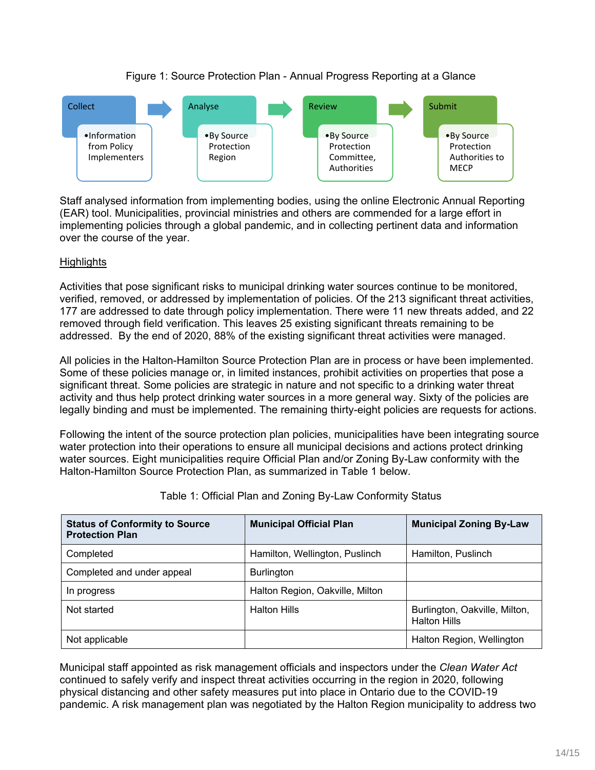# Figure 1: Source Protection Plan - Annual Progress Reporting at a Glance



Staff analysed information from implementing bodies, using the online Electronic Annual Reporting (EAR) tool. Municipalities, provincial ministries and others are commended for a large effort in implementing policies through a global pandemic, and in collecting pertinent data and information over the course of the year.

# **Highlights**

Activities that pose significant risks to municipal drinking water sources continue to be monitored, verified, removed, or addressed by implementation of policies. Of the 213 significant threat activities, 177 are addressed to date through policy implementation. There were 11 new threats added, and 22 removed through field verification. This leaves 25 existing significant threats remaining to be addressed. By the end of 2020, 88% of the existing significant threat activities were managed.

All policies in the Halton-Hamilton Source Protection Plan are in process or have been implemented. Some of these policies manage or, in limited instances, prohibit activities on properties that pose a significant threat. Some policies are strategic in nature and not specific to a drinking water threat activity and thus help protect drinking water sources in a more general way. Sixty of the policies are legally binding and must be implemented. The remaining thirty-eight policies are requests for actions.

Following the intent of the source protection plan policies, municipalities have been integrating source water protection into their operations to ensure all municipal decisions and actions protect drinking water sources. Eight municipalities require Official Plan and/or Zoning By-Law conformity with the Halton-Hamilton Source Protection Plan, as summarized in Table 1 below.

| <b>Status of Conformity to Source</b><br><b>Protection Plan</b> | <b>Municipal Official Plan</b>  | <b>Municipal Zoning By-Law</b>                       |
|-----------------------------------------------------------------|---------------------------------|------------------------------------------------------|
| Completed                                                       | Hamilton, Wellington, Puslinch  | Hamilton, Puslinch                                   |
| Completed and under appeal                                      | <b>Burlington</b>               |                                                      |
| In progress                                                     | Halton Region, Oakville, Milton |                                                      |
| Not started                                                     | <b>Halton Hills</b>             | Burlington, Oakville, Milton,<br><b>Halton Hills</b> |
| Not applicable                                                  |                                 | Halton Region, Wellington                            |

Table 1: Official Plan and Zoning By-Law Conformity Status

Municipal staff appointed as risk management officials and inspectors under the *Clean Water Act*  continued to safely verify and inspect threat activities occurring in the region in 2020, following physical distancing and other safety measures put into place in Ontario due to the COVID-19 pandemic. A risk management plan was negotiated by the Halton Region municipality to address two